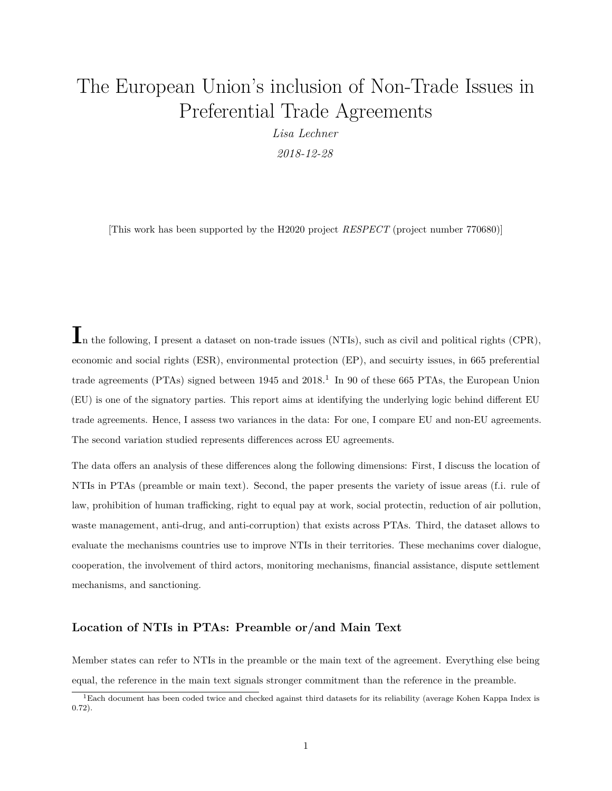# <span id="page-0-0"></span>The European Union's inclusion of Non-Trade Issues in Preferential Trade Agreements

*Lisa Lechner 2018-12-28*

[This work has been supported by the H2020 project *RESPECT* (project number 770680)]

In the following, I present a dataset on non-trade issues (NTIs), such as civil and political rights (CPR), economic and social rights (ESR), environmental protection (EP), and secuirty issues, in 665 preferential trade agreements (PTAs) signed between  $1945$  and  $2018<sup>1</sup>$  In 90 of these 665 PTAs, the European Union (EU) is one of the signatory parties. This report aims at identifying the underlying logic behind different EU trade agreements. Hence, I assess two variances in the data: For one, I compare EU and non-EU agreements. The second variation studied represents differences across EU agreements.

The data offers an analysis of these differences along the following dimensions: First, I discuss the location of NTIs in PTAs (preamble or main text). Second, the paper presents the variety of issue areas (f.i. rule of law, prohibition of human trafficking, right to equal pay at work, social protectin, reduction of air pollution, waste management, anti-drug, and anti-corruption) that exists across PTAs. Third, the dataset allows to evaluate the mechanisms countries use to improve NTIs in their territories. These mechanims cover dialogue, cooperation, the involvement of third actors, monitoring mechanisms, financial assistance, dispute settlement mechanisms, and sanctioning.

#### **Location of NTIs in PTAs: Preamble or/and Main Text**

Member states can refer to NTIs in the preamble or the main text of the agreement. Everything else being equal, the reference in the main text signals stronger commitment than the reference in the preamble.

<sup>1</sup>Each document has been coded twice and checked against third datasets for its reliability (average Kohen Kappa Index is 0.72).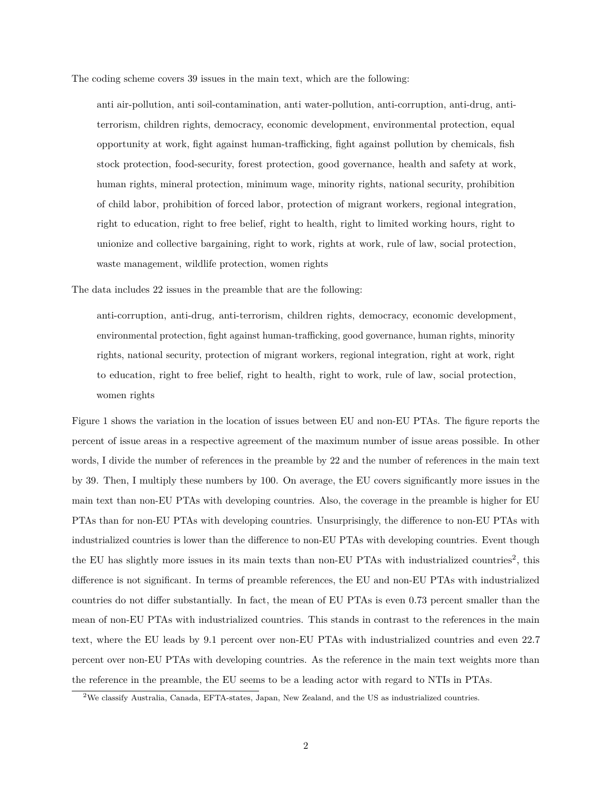The coding scheme covers 39 issues in the main text, which are the following:

anti air-pollution, anti soil-contamination, anti water-pollution, anti-corruption, anti-drug, antiterrorism, children rights, democracy, economic development, environmental protection, equal opportunity at work, fight against human-trafficking, fight against pollution by chemicals, fish stock protection, food-security, forest protection, good governance, health and safety at work, human rights, mineral protection, minimum wage, minority rights, national security, prohibition of child labor, prohibition of forced labor, protection of migrant workers, regional integration, right to education, right to free belief, right to health, right to limited working hours, right to unionize and collective bargaining, right to work, rights at work, rule of law, social protection, waste management, wildlife protection, women rights

The data includes 22 issues in the preamble that are the following:

anti-corruption, anti-drug, anti-terrorism, children rights, democracy, economic development, environmental protection, fight against human-trafficking, good governance, human rights, minority rights, national security, protection of migrant workers, regional integration, right at work, right to education, right to free belief, right to health, right to work, rule of law, social protection, women rights

Figure [1](#page-2-0) shows the variation in the location of issues between EU and non-EU PTAs. The figure reports the percent of issue areas in a respective agreement of the maximum number of issue areas possible. In other words, I divide the number of references in the preamble by 22 and the number of references in the main text by 39. Then, I multiply these numbers by 100. On average, the EU covers significantly more issues in the main text than non-EU PTAs with developing countries. Also, the coverage in the preamble is higher for EU PTAs than for non-EU PTAs with developing countries. Unsurprisingly, the difference to non-EU PTAs with industrialized countries is lower than the difference to non-EU PTAs with developing countries. Event though the EU has slightly more issues in its main texts than non-EU PTAs with industrialized countries<sup>[2](#page-0-0)</sup>, this difference is not significant. In terms of preamble references, the EU and non-EU PTAs with industrialized countries do not differ substantially. In fact, the mean of EU PTAs is even 0.73 percent smaller than the mean of non-EU PTAs with industrialized countries. This stands in contrast to the references in the main text, where the EU leads by 9.1 percent over non-EU PTAs with industrialized countries and even 22.7 percent over non-EU PTAs with developing countries. As the reference in the main text weights more than the reference in the preamble, the EU seems to be a leading actor with regard to NTIs in PTAs.

<sup>2</sup>We classify Australia, Canada, EFTA-states, Japan, New Zealand, and the US as industrialized countries.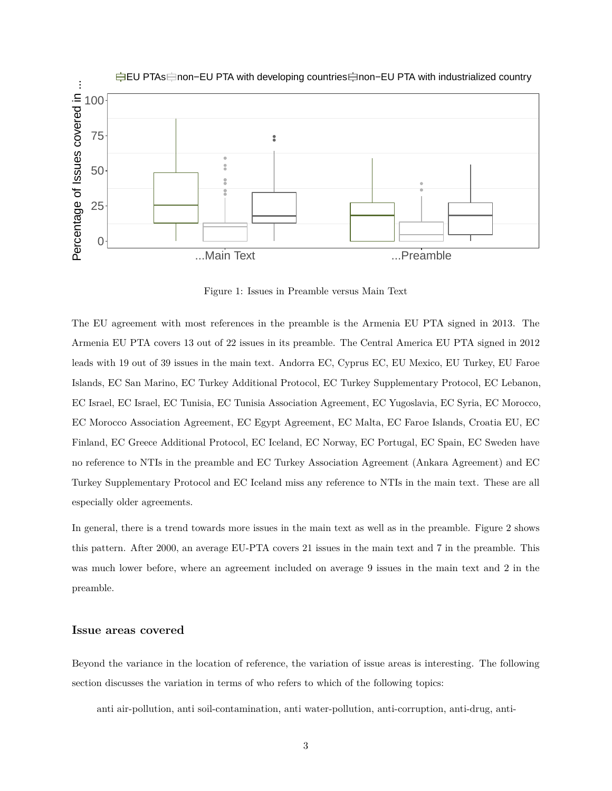

<span id="page-2-0"></span>Figure 1: Issues in Preamble versus Main Text

The EU agreement with most references in the preamble is the Armenia EU PTA signed in 2013. The Armenia EU PTA covers 13 out of 22 issues in its preamble. The Central America EU PTA signed in 2012 leads with 19 out of 39 issues in the main text. Andorra EC, Cyprus EC, EU Mexico, EU Turkey, EU Faroe Islands, EC San Marino, EC Turkey Additional Protocol, EC Turkey Supplementary Protocol, EC Lebanon, EC Israel, EC Israel, EC Tunisia, EC Tunisia Association Agreement, EC Yugoslavia, EC Syria, EC Morocco, EC Morocco Association Agreement, EC Egypt Agreement, EC Malta, EC Faroe Islands, Croatia EU, EC Finland, EC Greece Additional Protocol, EC Iceland, EC Norway, EC Portugal, EC Spain, EC Sweden have no reference to NTIs in the preamble and EC Turkey Association Agreement (Ankara Agreement) and EC Turkey Supplementary Protocol and EC Iceland miss any reference to NTIs in the main text. These are all especially older agreements.

In general, there is a trend towards more issues in the main text as well as in the preamble. Figure [2](#page-3-0) shows this pattern. After 2000, an average EU-PTA covers 21 issues in the main text and 7 in the preamble. This was much lower before, where an agreement included on average 9 issues in the main text and 2 in the preamble.

#### **Issue areas covered**

Beyond the variance in the location of reference, the variation of issue areas is interesting. The following section discusses the variation in terms of who refers to which of the following topics:

anti air-pollution, anti soil-contamination, anti water-pollution, anti-corruption, anti-drug, anti-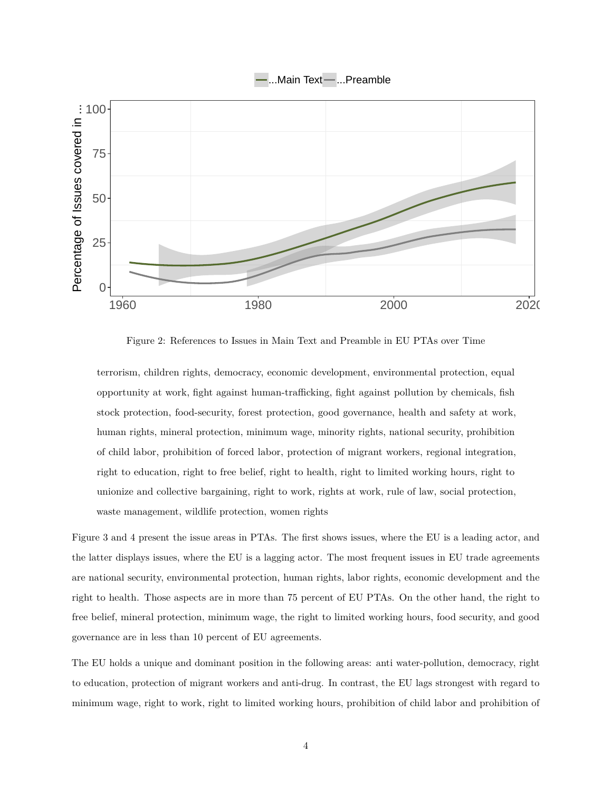



<span id="page-3-0"></span>Figure 2: References to Issues in Main Text and Preamble in EU PTAs over Time

terrorism, children rights, democracy, economic development, environmental protection, equal opportunity at work, fight against human-trafficking, fight against pollution by chemicals, fish stock protection, food-security, forest protection, good governance, health and safety at work, human rights, mineral protection, minimum wage, minority rights, national security, prohibition of child labor, prohibition of forced labor, protection of migrant workers, regional integration, right to education, right to free belief, right to health, right to limited working hours, right to unionize and collective bargaining, right to work, rights at work, rule of law, social protection, waste management, wildlife protection, women rights

Figure [3](#page-4-0) and [4](#page-5-0) present the issue areas in PTAs. The first shows issues, where the EU is a leading actor, and the latter displays issues, where the EU is a lagging actor. The most frequent issues in EU trade agreements are national security, environmental protection, human rights, labor rights, economic development and the right to health. Those aspects are in more than 75 percent of EU PTAs. On the other hand, the right to free belief, mineral protection, minimum wage, the right to limited working hours, food security, and good governance are in less than 10 percent of EU agreements.

The EU holds a unique and dominant position in the following areas: anti water-pollution, democracy, right to education, protection of migrant workers and anti-drug. In contrast, the EU lags strongest with regard to minimum wage, right to work, right to limited working hours, prohibition of child labor and prohibition of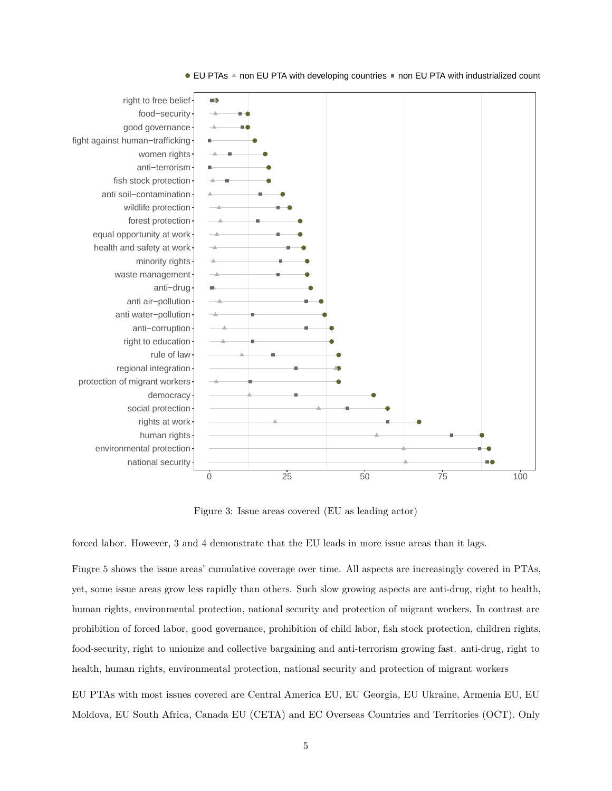

#### ■ EU PTAs A non EU PTA with developing countries ■ non EU PTA with industrialized count

<span id="page-4-0"></span>Figure 3: Issue areas covered (EU as leading actor)

forced labor. However, [3](#page-4-0) and [4](#page-5-0) demonstrate that the EU leads in more issue areas than it lags.

Fiugre [5](#page-6-0) shows the issue areas' cumulative coverage over time. All aspects are increasingly covered in PTAs, yet, some issue areas grow less rapidly than others. Such slow growing aspects are anti-drug, right to health, human rights, environmental protection, national security and protection of migrant workers. In contrast are prohibition of forced labor, good governance, prohibition of child labor, fish stock protection, children rights, food-security, right to unionize and collective bargaining and anti-terrorism growing fast. anti-drug, right to health, human rights, environmental protection, national security and protection of migrant workers

EU PTAs with most issues covered are Central America EU, EU Georgia, EU Ukraine, Armenia EU, EU Moldova, EU South Africa, Canada EU (CETA) and EC Overseas Countries and Territories (OCT). Only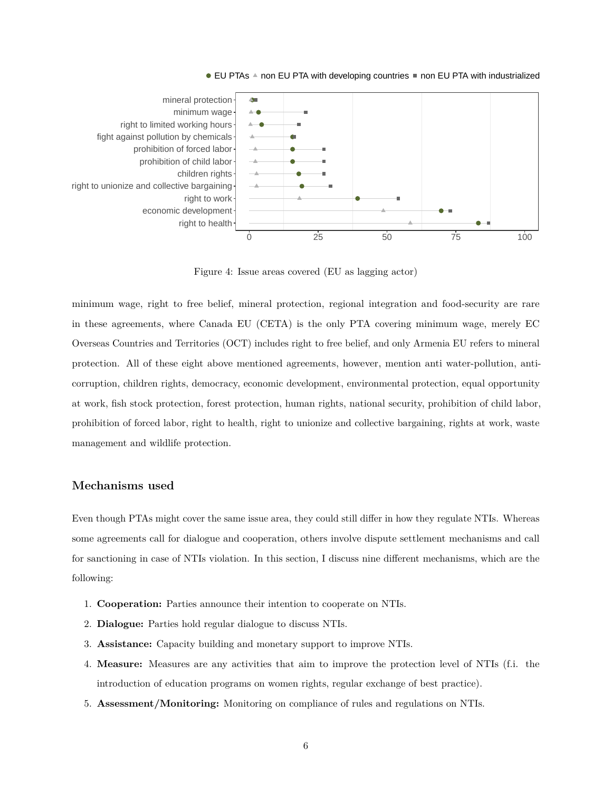

 $\bullet$  EU PTAs  $\bullet$  non EU PTA with developing countries  $\bullet$  non EU PTA with industrialized

<span id="page-5-0"></span>Figure 4: Issue areas covered (EU as lagging actor)

minimum wage, right to free belief, mineral protection, regional integration and food-security are rare in these agreements, where Canada EU (CETA) is the only PTA covering minimum wage, merely EC Overseas Countries and Territories (OCT) includes right to free belief, and only Armenia EU refers to mineral protection. All of these eight above mentioned agreements, however, mention anti water-pollution, anticorruption, children rights, democracy, economic development, environmental protection, equal opportunity at work, fish stock protection, forest protection, human rights, national security, prohibition of child labor, prohibition of forced labor, right to health, right to unionize and collective bargaining, rights at work, waste management and wildlife protection.

#### **Mechanisms used**

Even though PTAs might cover the same issue area, they could still differ in how they regulate NTIs. Whereas some agreements call for dialogue and cooperation, others involve dispute settlement mechanisms and call for sanctioning in case of NTIs violation. In this section, I discuss nine different mechanisms, which are the following:

- 1. **Cooperation:** Parties announce their intention to cooperate on NTIs.
- 2. **Dialogue:** Parties hold regular dialogue to discuss NTIs.
- 3. **Assistance:** Capacity building and monetary support to improve NTIs.
- 4. **Measure:** Measures are any activities that aim to improve the protection level of NTIs (f.i. the introduction of education programs on women rights, regular exchange of best practice).
- 5. **Assessment/Monitoring:** Monitoring on compliance of rules and regulations on NTIs.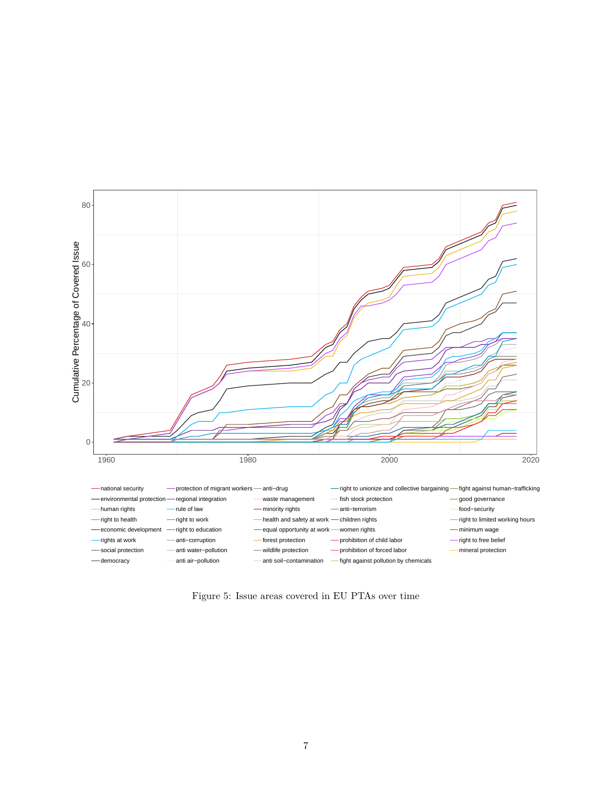

<span id="page-6-0"></span>Figure 5: Issue areas covered in EU PTAs over time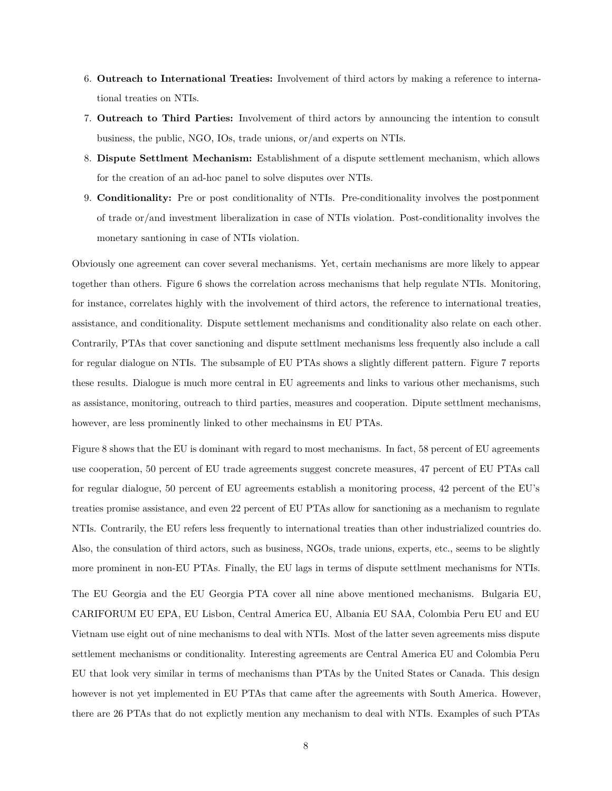- 6. **Outreach to International Treaties:** Involvement of third actors by making a reference to international treaties on NTIs.
- 7. **Outreach to Third Parties:** Involvement of third actors by announcing the intention to consult business, the public, NGO, IOs, trade unions, or/and experts on NTIs.
- 8. **Dispute Settlment Mechanism:** Establishment of a dispute settlement mechanism, which allows for the creation of an ad-hoc panel to solve disputes over NTIs.
- 9. **Conditionality:** Pre or post conditionality of NTIs. Pre-conditionality involves the postponment of trade or/and investment liberalization in case of NTIs violation. Post-conditionality involves the monetary santioning in case of NTIs violation.

Obviously one agreement can cover several mechanisms. Yet, certain mechanisms are more likely to appear together than others. Figure [6](#page-8-0) shows the correlation across mechanisms that help regulate NTIs. Monitoring, for instance, correlates highly with the involvement of third actors, the reference to international treaties, assistance, and conditionality. Dispute settlement mechanisms and conditionality also relate on each other. Contrarily, PTAs that cover sanctioning and dispute settlment mechanisms less frequently also include a call for regular dialogue on NTIs. The subsample of EU PTAs shows a slightly different pattern. Figure [7](#page-9-0) reports these results. Dialogue is much more central in EU agreements and links to various other mechanisms, such as assistance, monitoring, outreach to third parties, measures and cooperation. Dipute settlment mechanisms, however, are less prominently linked to other mechainsms in EU PTAs.

Figure [8](#page-9-1) shows that the EU is dominant with regard to most mechanisms. In fact, 58 percent of EU agreements use cooperation, 50 percent of EU trade agreements suggest concrete measures, 47 percent of EU PTAs call for regular dialogue, 50 percent of EU agreements establish a monitoring process, 42 percent of the EU's treaties promise assistance, and even 22 percent of EU PTAs allow for sanctioning as a mechanism to regulate NTIs. Contrarily, the EU refers less frequently to international treaties than other industrialized countries do. Also, the consulation of third actors, such as business, NGOs, trade unions, experts, etc., seems to be slightly more prominent in non-EU PTAs. Finally, the EU lags in terms of dispute settlment mechanisms for NTIs.

The EU Georgia and the EU Georgia PTA cover all nine above mentioned mechanisms. Bulgaria EU, CARIFORUM EU EPA, EU Lisbon, Central America EU, Albania EU SAA, Colombia Peru EU and EU Vietnam use eight out of nine mechanisms to deal with NTIs. Most of the latter seven agreements miss dispute settlement mechanisms or conditionality. Interesting agreements are Central America EU and Colombia Peru EU that look very similar in terms of mechanisms than PTAs by the United States or Canada. This design however is not yet implemented in EU PTAs that came after the agreements with South America. However, there are 26 PTAs that do not explictly mention any mechanism to deal with NTIs. Examples of such PTAs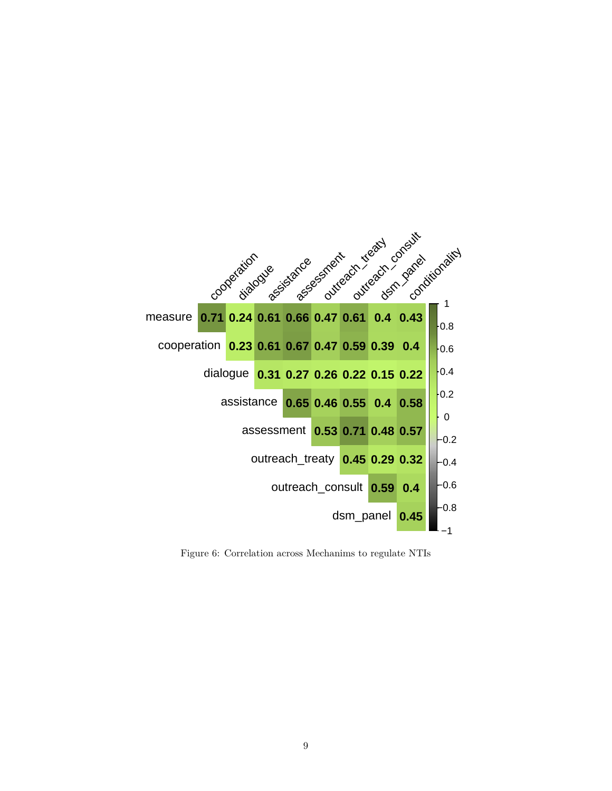

<span id="page-8-0"></span>Figure 6: Correlation across Mechanims to regulate NTIs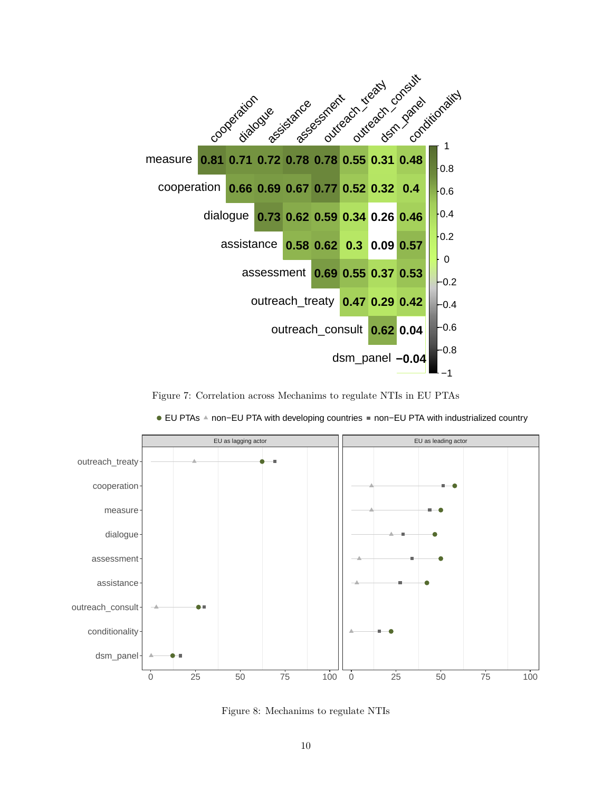

Figure 7: Correlation across Mechanims to regulate NTIs in EU PTAs



<span id="page-9-0"></span>■ EU PTAs A non−EU PTA with developing countries ■ non−EU PTA with industrialized country

<span id="page-9-1"></span>Figure 8: Mechanims to regulate NTIs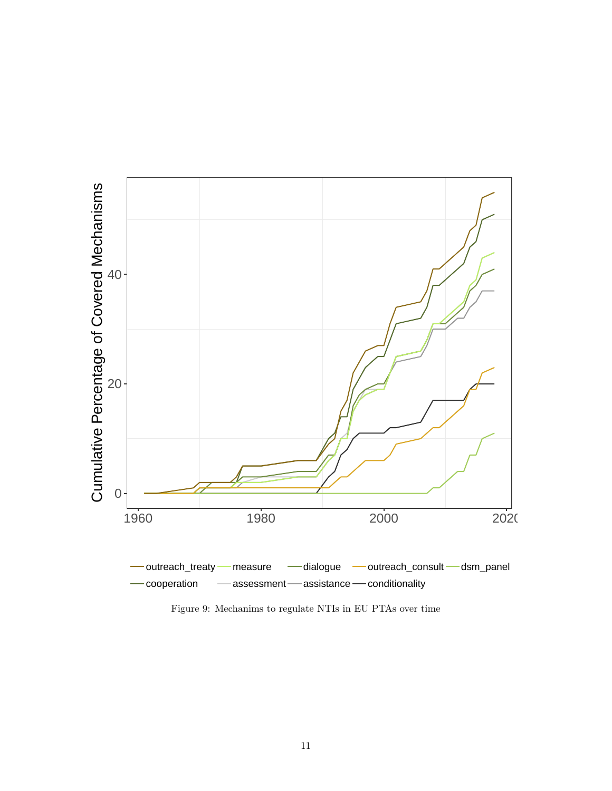

<span id="page-10-0"></span>Figure 9: Mechanims to regulate NTIs in EU PTAs over time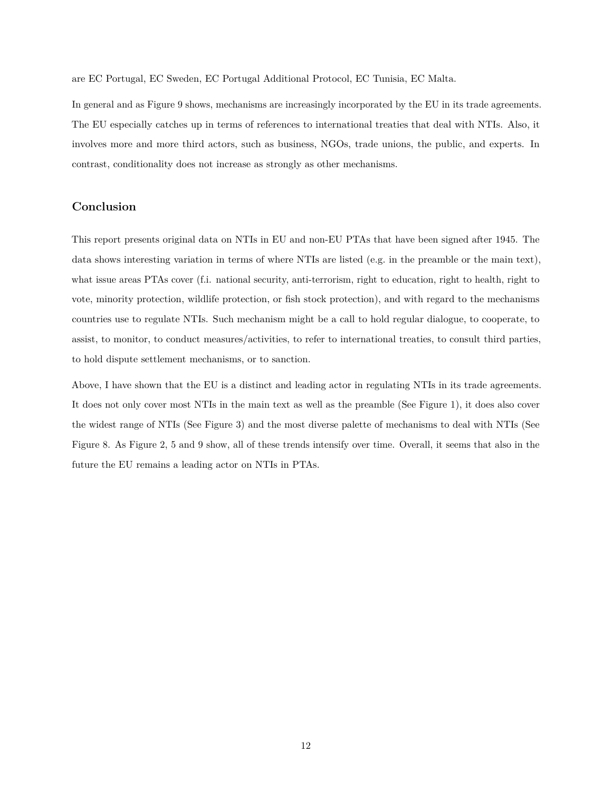are EC Portugal, EC Sweden, EC Portugal Additional Protocol, EC Tunisia, EC Malta.

In general and as Figure [9](#page-10-0) shows, mechanisms are increasingly incorporated by the EU in its trade agreements. The EU especially catches up in terms of references to international treaties that deal with NTIs. Also, it involves more and more third actors, such as business, NGOs, trade unions, the public, and experts. In contrast, conditionality does not increase as strongly as other mechanisms.

#### **Conclusion**

This report presents original data on NTIs in EU and non-EU PTAs that have been signed after 1945. The data shows interesting variation in terms of where NTIs are listed (e.g. in the preamble or the main text), what issue areas PTAs cover (f.i. national security, anti-terrorism, right to education, right to health, right to vote, minority protection, wildlife protection, or fish stock protection), and with regard to the mechanisms countries use to regulate NTIs. Such mechanism might be a call to hold regular dialogue, to cooperate, to assist, to monitor, to conduct measures/activities, to refer to international treaties, to consult third parties, to hold dispute settlement mechanisms, or to sanction.

Above, I have shown that the EU is a distinct and leading actor in regulating NTIs in its trade agreements. It does not only cover most NTIs in the main text as well as the preamble (See Figure [1\)](#page-2-0), it does also cover the widest range of NTIs (See Figure [3\)](#page-4-0) and the most diverse palette of mechanisms to deal with NTIs (See Figure [8.](#page-9-1) As Figure [2,](#page-3-0) [5](#page-6-0) and [9](#page-10-0) show, all of these trends intensify over time. Overall, it seems that also in the future the EU remains a leading actor on NTIs in PTAs.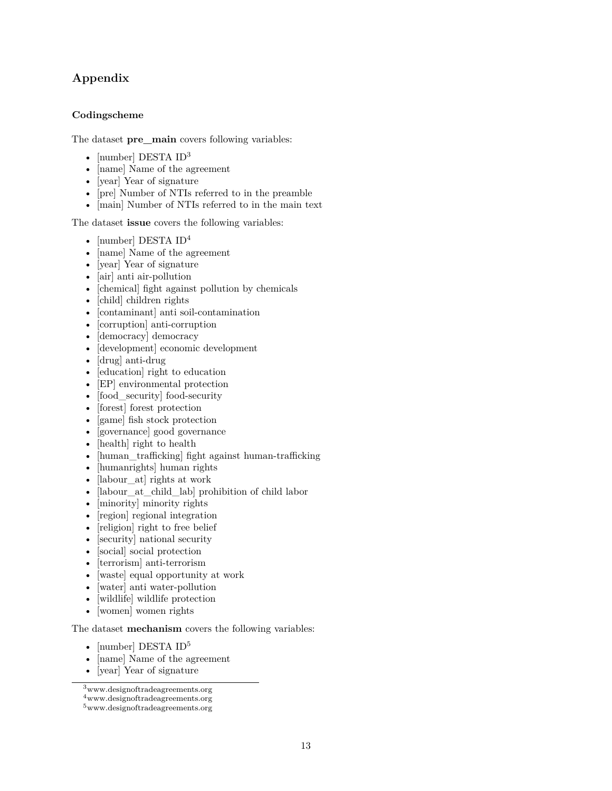## **Appendix**

### **Codingscheme**

The dataset **pre\_main** covers following variables:

- [number] DESTA ID<sup>[3](#page-0-0)</sup>
- [name] Name of the agreement
- [year] Year of signature
- [pre] Number of NTIs referred to in the preamble
- [main] Number of NTIs referred to in the main text

The dataset **issue** covers the following variables:

- [number] DESTA ID<sup>[4](#page-0-0)</sup>
- [name] Name of the agreement
- [year] Year of signature
- [air] anti air-pollution
- [chemical] fight against pollution by chemicals
- [child] children rights
- [contaminant] anti soil-contamination
- [corruption] anti-corruption
- [democracy] democracy
- [development] economic development
- [drug] anti-drug
- [education] right to education
- [EP] environmental protection
- [food\_security] food-security
- [forest] forest protection
- [game] fish stock protection
- [governance] good governance
- [health] right to health
- [human\_trafficking] fight against human-trafficking
- [humanrights] human rights
- [labour at] rights at work
- [labour at child lab] prohibition of child labor
- [minority] minority rights
- [region] regional integration
- [religion] right to free belief
- [security] national security
- [social] social protection
- [terrorism] anti-terrorism
- [waste] equal opportunity at work
- [water] anti water-pollution
- [wildlife] wildlife protection
- [women] women rights

The dataset **mechanism** covers the following variables:

- [number] DESTA $\rm ID^5$  $\rm ID^5$
- [name] Name of the agreement
- [year] Year of signature

<sup>3</sup><www.designoftradeagreements.org>

<sup>4</sup><www.designoftradeagreements.org> <sup>5</sup><www.designoftradeagreements.org>